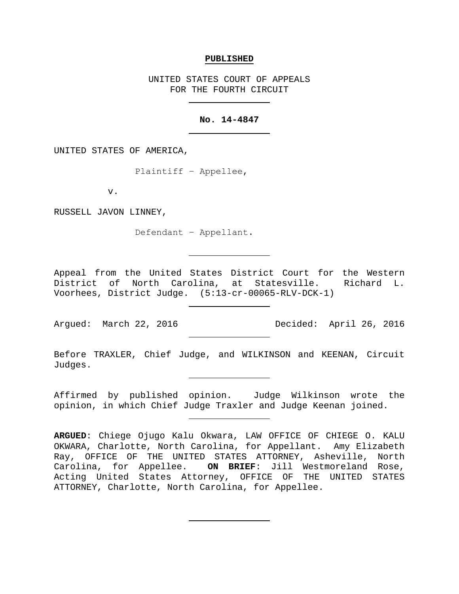#### **PUBLISHED**

UNITED STATES COURT OF APPEALS FOR THE FOURTH CIRCUIT

# **No. 14-4847**

UNITED STATES OF AMERICA,

Plaintiff − Appellee,

v.

RUSSELL JAVON LINNEY,

Defendant − Appellant.

Appeal from the United States District Court for the Western District of North Carolina, at Statesville. Richard L. Voorhees, District Judge. (5:13-cr-00065-RLV-DCK-1)

Before TRAXLER, Chief Judge, and WILKINSON and KEENAN, Circuit Judges.

Affirmed by published opinion. Judge Wilkinson wrote the opinion, in which Chief Judge Traxler and Judge Keenan joined.

**ARGUED**: Chiege Ojugo Kalu Okwara, LAW OFFICE OF CHIEGE O. KALU OKWARA, Charlotte, North Carolina, for Appellant. Amy Elizabeth Ray, OFFICE OF THE UNITED STATES ATTORNEY, Asheville, North Carolina, for Appellee. **ON BRIEF**: Jill Westmoreland Rose, Acting United States Attorney, OFFICE OF THE UNITED STATES ATTORNEY, Charlotte, North Carolina, for Appellee.

Argued: March 22, 2016 Decided: April 26, 2016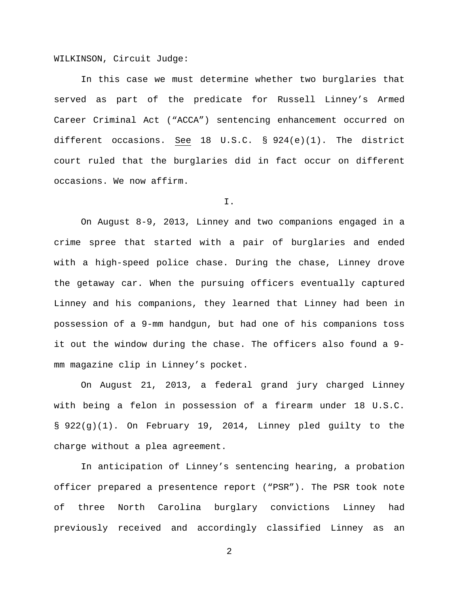WILKINSON, Circuit Judge:

In this case we must determine whether two burglaries that served as part of the predicate for Russell Linney's Armed Career Criminal Act ("ACCA") sentencing enhancement occurred on different occasions. See 18 U.S.C. § 924(e)(1). The district court ruled that the burglaries did in fact occur on different occasions. We now affirm.

I.

On August 8-9, 2013, Linney and two companions engaged in a crime spree that started with a pair of burglaries and ended with a high-speed police chase. During the chase, Linney drove the getaway car. When the pursuing officers eventually captured Linney and his companions, they learned that Linney had been in possession of a 9-mm handgun, but had one of his companions toss it out the window during the chase. The officers also found a 9 mm magazine clip in Linney's pocket.

On August 21, 2013, a federal grand jury charged Linney with being a felon in possession of a firearm under 18 U.S.C. § 922(g)(1). On February 19, 2014, Linney pled guilty to the charge without a plea agreement.

In anticipation of Linney's sentencing hearing, a probation officer prepared a presentence report ("PSR"). The PSR took note of three North Carolina burglary convictions Linney had previously received and accordingly classified Linney as an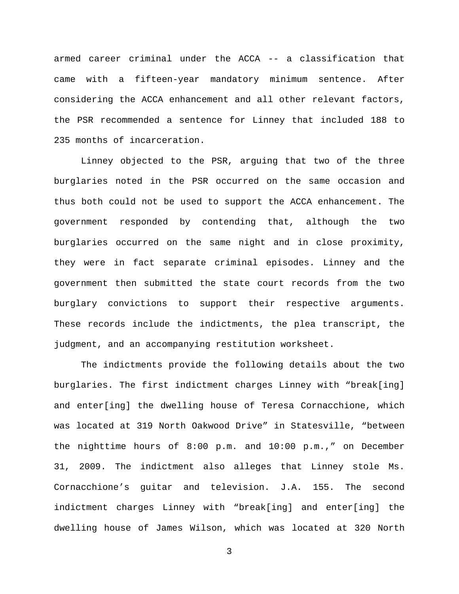armed career criminal under the ACCA -- a classification that came with a fifteen-year mandatory minimum sentence. After considering the ACCA enhancement and all other relevant factors, the PSR recommended a sentence for Linney that included 188 to 235 months of incarceration.

Linney objected to the PSR, arguing that two of the three burglaries noted in the PSR occurred on the same occasion and thus both could not be used to support the ACCA enhancement. The government responded by contending that, although the two burglaries occurred on the same night and in close proximity, they were in fact separate criminal episodes. Linney and the government then submitted the state court records from the two burglary convictions to support their respective arguments. These records include the indictments, the plea transcript, the judgment, and an accompanying restitution worksheet.

The indictments provide the following details about the two burglaries. The first indictment charges Linney with "break[ing] and enter[ing] the dwelling house of Teresa Cornacchione, which was located at 319 North Oakwood Drive" in Statesville, "between the nighttime hours of 8:00 p.m. and 10:00 p.m.," on December 31, 2009. The indictment also alleges that Linney stole Ms. Cornacchione's guitar and television. J.A. 155. The second indictment charges Linney with "break[ing] and enter[ing] the dwelling house of James Wilson, which was located at 320 North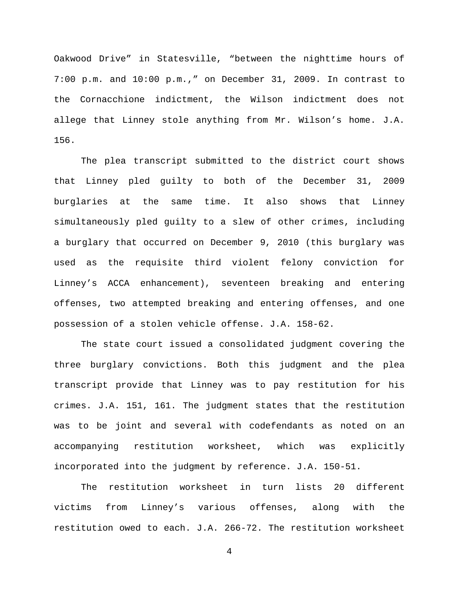Oakwood Drive" in Statesville, "between the nighttime hours of 7:00 p.m. and 10:00 p.m.," on December 31, 2009. In contrast to the Cornacchione indictment, the Wilson indictment does not allege that Linney stole anything from Mr. Wilson's home. J.A. 156.

The plea transcript submitted to the district court shows that Linney pled guilty to both of the December 31, 2009 burglaries at the same time. It also shows that Linney simultaneously pled guilty to a slew of other crimes, including a burglary that occurred on December 9, 2010 (this burglary was used as the requisite third violent felony conviction for Linney's ACCA enhancement), seventeen breaking and entering offenses, two attempted breaking and entering offenses, and one possession of a stolen vehicle offense. J.A. 158-62.

The state court issued a consolidated judgment covering the three burglary convictions. Both this judgment and the plea transcript provide that Linney was to pay restitution for his crimes. J.A. 151, 161. The judgment states that the restitution was to be joint and several with codefendants as noted on an accompanying restitution worksheet, which was explicitly incorporated into the judgment by reference. J.A. 150-51.

The restitution worksheet in turn lists 20 different victims from Linney's various offenses, along with the restitution owed to each. J.A. 266-72. The restitution worksheet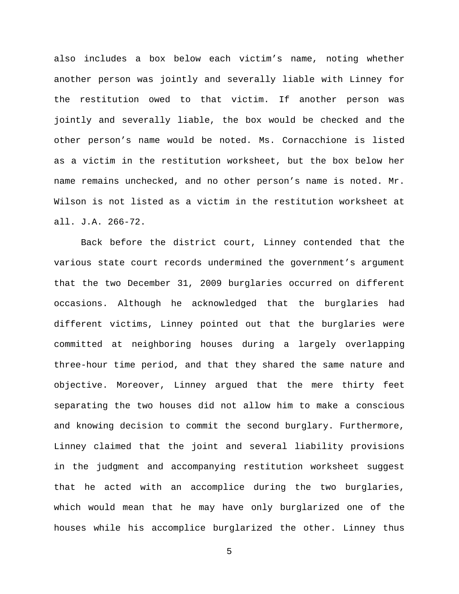also includes a box below each victim's name, noting whether another person was jointly and severally liable with Linney for the restitution owed to that victim. If another person was jointly and severally liable, the box would be checked and the other person's name would be noted. Ms. Cornacchione is listed as a victim in the restitution worksheet, but the box below her name remains unchecked, and no other person's name is noted. Mr. Wilson is not listed as a victim in the restitution worksheet at all. J.A. 266-72.

Back before the district court, Linney contended that the various state court records undermined the government's argument that the two December 31, 2009 burglaries occurred on different occasions. Although he acknowledged that the burglaries had different victims, Linney pointed out that the burglaries were committed at neighboring houses during a largely overlapping three-hour time period, and that they shared the same nature and objective. Moreover, Linney argued that the mere thirty feet separating the two houses did not allow him to make a conscious and knowing decision to commit the second burglary. Furthermore, Linney claimed that the joint and several liability provisions in the judgment and accompanying restitution worksheet suggest that he acted with an accomplice during the two burglaries, which would mean that he may have only burglarized one of the houses while his accomplice burglarized the other. Linney thus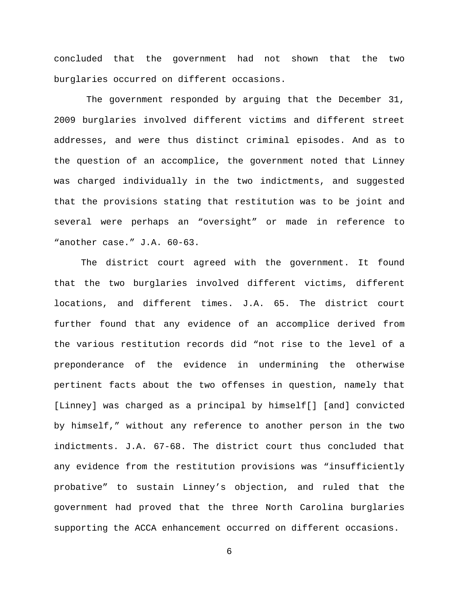concluded that the government had not shown that the two burglaries occurred on different occasions.

The government responded by arguing that the December 31, 2009 burglaries involved different victims and different street addresses, and were thus distinct criminal episodes. And as to the question of an accomplice, the government noted that Linney was charged individually in the two indictments, and suggested that the provisions stating that restitution was to be joint and several were perhaps an "oversight" or made in reference to "another case." J.A. 60-63.

The district court agreed with the government. It found that the two burglaries involved different victims, different locations, and different times. J.A. 65. The district court further found that any evidence of an accomplice derived from the various restitution records did "not rise to the level of a preponderance of the evidence in undermining the otherwise pertinent facts about the two offenses in question, namely that [Linney] was charged as a principal by himself[] [and] convicted by himself," without any reference to another person in the two indictments. J.A. 67-68. The district court thus concluded that any evidence from the restitution provisions was "insufficiently probative" to sustain Linney's objection, and ruled that the government had proved that the three North Carolina burglaries supporting the ACCA enhancement occurred on different occasions.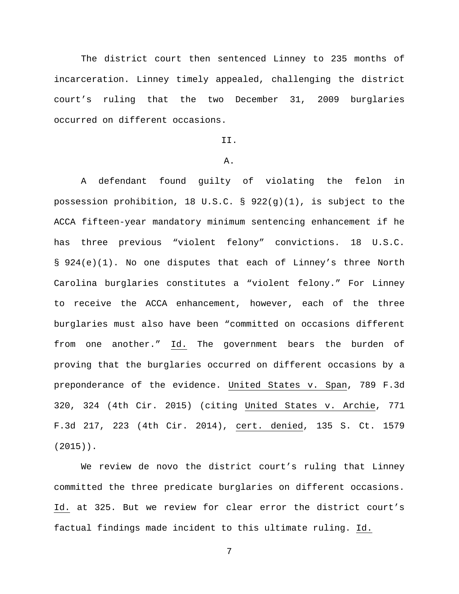The district court then sentenced Linney to 235 months of incarceration. Linney timely appealed, challenging the district court's ruling that the two December 31, 2009 burglaries occurred on different occasions.

# II.

## A.

A defendant found guilty of violating the felon in possession prohibition, 18 U.S.C. § 922(g)(1), is subject to the ACCA fifteen-year mandatory minimum sentencing enhancement if he has three previous "violent felony" convictions. 18 U.S.C. § 924(e)(1). No one disputes that each of Linney's three North Carolina burglaries constitutes a "violent felony." For Linney to receive the ACCA enhancement, however, each of the three burglaries must also have been "committed on occasions different from one another." Id. The government bears the burden of proving that the burglaries occurred on different occasions by a preponderance of the evidence. United States v. Span, 789 F.3d 320, 324 (4th Cir. 2015) (citing United States v. Archie, 771 F.3d 217, 223 (4th Cir. 2014), cert. denied, 135 S. Ct. 1579 (2015)).

We review de novo the district court's ruling that Linney committed the three predicate burglaries on different occasions. Id. at 325. But we review for clear error the district court's factual findings made incident to this ultimate ruling. Id.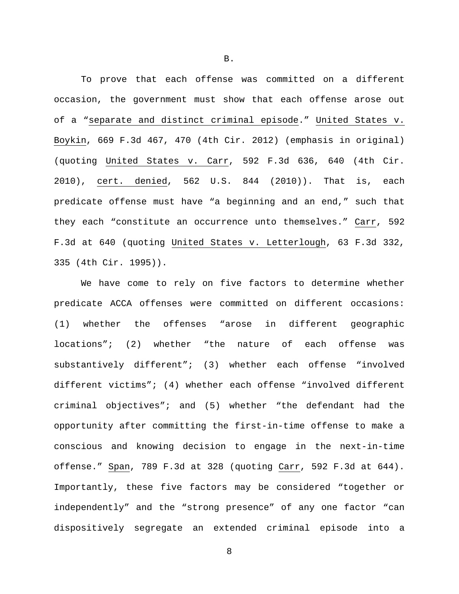To prove that each offense was committed on a different occasion, the government must show that each offense arose out of a "separate and distinct criminal episode." United States v. Boykin, 669 F.3d 467, 470 (4th Cir. 2012) (emphasis in original) (quoting United States v. Carr, 592 F.3d 636, 640 (4th Cir. 2010), cert. denied, 562 U.S. 844 (2010)). That is, each predicate offense must have "a beginning and an end," such that they each "constitute an occurrence unto themselves." Carr, 592 F.3d at 640 (quoting United States v. Letterlough, 63 F.3d 332, 335 (4th Cir. 1995)).

We have come to rely on five factors to determine whether predicate ACCA offenses were committed on different occasions: (1) whether the offenses "arose in different geographic locations"; (2) whether "the nature of each offense was substantively different"; (3) whether each offense "involved different victims"; (4) whether each offense "involved different criminal objectives"; and (5) whether "the defendant had the opportunity after committing the first-in-time offense to make a conscious and knowing decision to engage in the next-in-time offense." Span, 789 F.3d at 328 (quoting Carr, 592 F.3d at 644). Importantly, these five factors may be considered "together or independently" and the "strong presence" of any one factor "can dispositively segregate an extended criminal episode into a

8

B.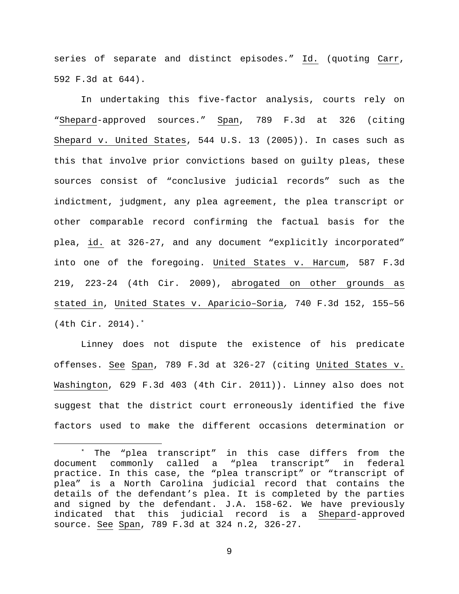series of separate and distinct episodes." Id. (quoting Carr, 592 F.3d at 644).

In undertaking this five-factor analysis, courts rely on "Shepard-approved sources." Span, 789 F.3d at 326 (citing Shepard v. United States, 544 U.S. 13 (2005)). In cases such as this that involve prior convictions based on guilty pleas, these sources consist of "conclusive judicial records" such as the indictment, judgment, any plea agreement, the plea transcript or other comparable record confirming the factual basis for the plea, id. at 326-27, and any document "explicitly incorporated" into one of the foregoing. United States v. Harcum, 587 F.3d 219, 223-24 (4th Cir. 2009), abrogated on other grounds as stated in, United States v. Aparicio–Soria*,* 740 F.3d 152, 155–56 (4th Cir. 2014).[\\*](#page-8-0)

Linney does not dispute the existence of his predicate offenses. See Span, 789 F.3d at 326-27 (citing United States v. Washington, 629 F.3d 403 (4th Cir. 2011)). Linney also does not suggest that the district court erroneously identified the five factors used to make the different occasions determination or

<span id="page-8-0"></span> <sup>\*</sup> The "plea transcript" in this case differs from the document commonly called a "plea transcript" in federal practice. In this case, the "plea transcript" or "transcript of plea" is a North Carolina judicial record that contains the details of the defendant's plea. It is completed by the parties and signed by the defendant. J.A. 158-62. We have previously indicated that this judicial record is a Shepard-approved source. See Span, 789 F.3d at 324 n.2, 326-27.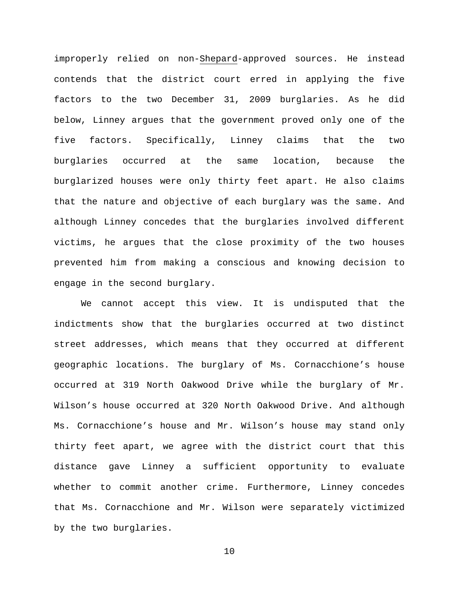improperly relied on non-Shepard-approved sources. He instead contends that the district court erred in applying the five factors to the two December 31, 2009 burglaries. As he did below, Linney argues that the government proved only one of the five factors. Specifically, Linney claims that the two burglaries occurred at the same location, because the burglarized houses were only thirty feet apart. He also claims that the nature and objective of each burglary was the same. And although Linney concedes that the burglaries involved different victims, he argues that the close proximity of the two houses prevented him from making a conscious and knowing decision to engage in the second burglary.

We cannot accept this view. It is undisputed that the indictments show that the burglaries occurred at two distinct street addresses, which means that they occurred at different geographic locations. The burglary of Ms. Cornacchione's house occurred at 319 North Oakwood Drive while the burglary of Mr. Wilson's house occurred at 320 North Oakwood Drive. And although Ms. Cornacchione's house and Mr. Wilson's house may stand only thirty feet apart, we agree with the district court that this distance gave Linney a sufficient opportunity to evaluate whether to commit another crime. Furthermore, Linney concedes that Ms. Cornacchione and Mr. Wilson were separately victimized by the two burglaries.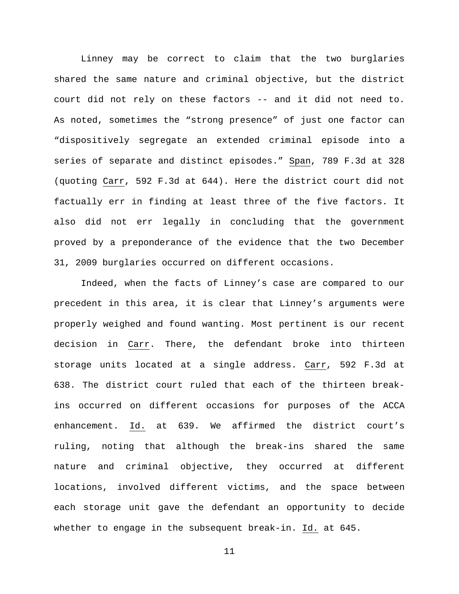Linney may be correct to claim that the two burglaries shared the same nature and criminal objective, but the district court did not rely on these factors -- and it did not need to. As noted, sometimes the "strong presence" of just one factor can "dispositively segregate an extended criminal episode into a series of separate and distinct episodes." Span, 789 F.3d at 328 (quoting Carr, 592 F.3d at 644). Here the district court did not factually err in finding at least three of the five factors. It also did not err legally in concluding that the government proved by a preponderance of the evidence that the two December 31, 2009 burglaries occurred on different occasions.

Indeed, when the facts of Linney's case are compared to our precedent in this area, it is clear that Linney's arguments were properly weighed and found wanting. Most pertinent is our recent decision in Carr. There, the defendant broke into thirteen storage units located at a single address. Carr, 592 F.3d at 638. The district court ruled that each of the thirteen breakins occurred on different occasions for purposes of the ACCA enhancement. Id. at 639. We affirmed the district court's ruling, noting that although the break-ins shared the same nature and criminal objective, they occurred at different locations, involved different victims, and the space between each storage unit gave the defendant an opportunity to decide whether to engage in the subsequent break-in. Id. at 645.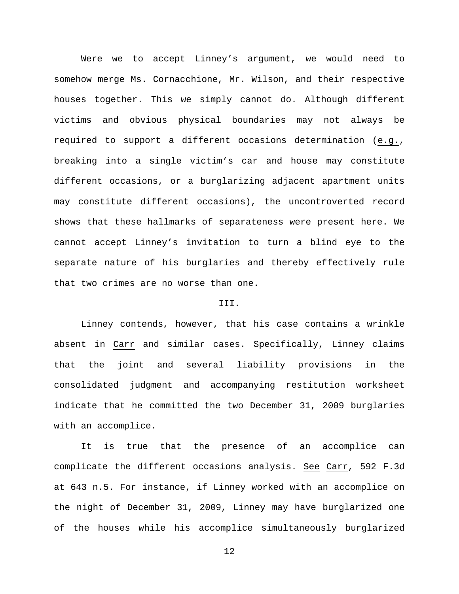Were we to accept Linney's argument, we would need to somehow merge Ms. Cornacchione, Mr. Wilson, and their respective houses together. This we simply cannot do. Although different victims and obvious physical boundaries may not always be required to support a different occasions determination (e.g., breaking into a single victim's car and house may constitute different occasions, or a burglarizing adjacent apartment units may constitute different occasions), the uncontroverted record shows that these hallmarks of separateness were present here. We cannot accept Linney's invitation to turn a blind eye to the separate nature of his burglaries and thereby effectively rule that two crimes are no worse than one.

## III.

Linney contends, however, that his case contains a wrinkle absent in Carr and similar cases. Specifically, Linney claims that the joint and several liability provisions in the consolidated judgment and accompanying restitution worksheet indicate that he committed the two December 31, 2009 burglaries with an accomplice.

It is true that the presence of an accomplice can complicate the different occasions analysis. See Carr, 592 F.3d at 643 n.5. For instance, if Linney worked with an accomplice on the night of December 31, 2009, Linney may have burglarized one of the houses while his accomplice simultaneously burglarized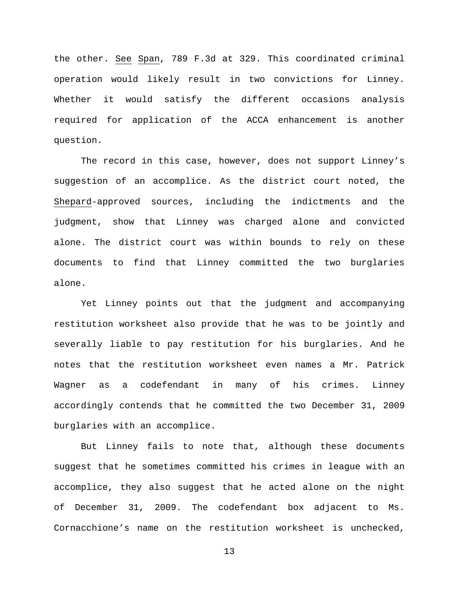the other. See Span, 789 F.3d at 329. This coordinated criminal operation would likely result in two convictions for Linney. Whether it would satisfy the different occasions analysis required for application of the ACCA enhancement is another question.

The record in this case, however, does not support Linney's suggestion of an accomplice. As the district court noted, the Shepard-approved sources, including the indictments and the judgment, show that Linney was charged alone and convicted alone. The district court was within bounds to rely on these documents to find that Linney committed the two burglaries alone.

Yet Linney points out that the judgment and accompanying restitution worksheet also provide that he was to be jointly and severally liable to pay restitution for his burglaries. And he notes that the restitution worksheet even names a Mr. Patrick Wagner as a codefendant in many of his crimes. Linney accordingly contends that he committed the two December 31, 2009 burglaries with an accomplice.

But Linney fails to note that, although these documents suggest that he sometimes committed his crimes in league with an accomplice, they also suggest that he acted alone on the night of December 31, 2009. The codefendant box adjacent to Ms. Cornacchione's name on the restitution worksheet is unchecked,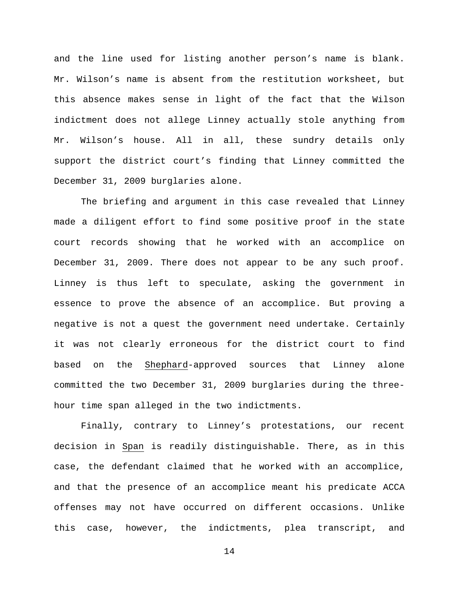and the line used for listing another person's name is blank. Mr. Wilson's name is absent from the restitution worksheet, but this absence makes sense in light of the fact that the Wilson indictment does not allege Linney actually stole anything from Mr. Wilson's house. All in all, these sundry details only support the district court's finding that Linney committed the December 31, 2009 burglaries alone.

The briefing and argument in this case revealed that Linney made a diligent effort to find some positive proof in the state court records showing that he worked with an accomplice on December 31, 2009. There does not appear to be any such proof. Linney is thus left to speculate, asking the government in essence to prove the absence of an accomplice. But proving a negative is not a quest the government need undertake. Certainly it was not clearly erroneous for the district court to find based on the Shephard-approved sources that Linney alone committed the two December 31, 2009 burglaries during the threehour time span alleged in the two indictments.

Finally, contrary to Linney's protestations, our recent decision in Span is readily distinguishable. There, as in this case, the defendant claimed that he worked with an accomplice, and that the presence of an accomplice meant his predicate ACCA offenses may not have occurred on different occasions. Unlike this case, however, the indictments, plea transcript, and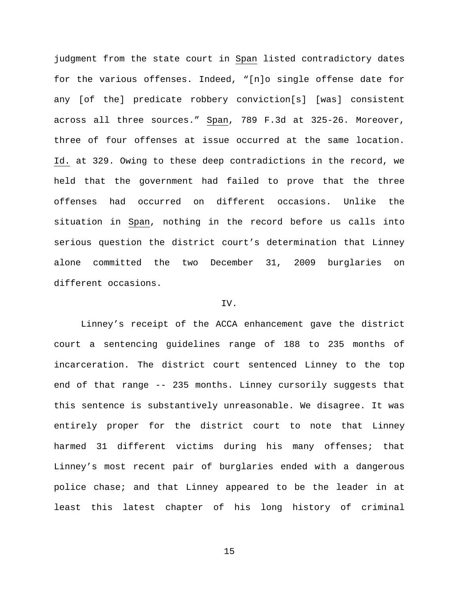judgment from the state court in Span listed contradictory dates for the various offenses. Indeed, "[n]o single offense date for any [of the] predicate robbery conviction[s] [was] consistent across all three sources." Span, 789 F.3d at 325-26. Moreover, three of four offenses at issue occurred at the same location. Id. at 329. Owing to these deep contradictions in the record, we held that the government had failed to prove that the three offenses had occurred on different occasions. Unlike the situation in Span, nothing in the record before us calls into serious question the district court's determination that Linney alone committed the two December 31, 2009 burglaries on different occasions.

#### IV.

Linney's receipt of the ACCA enhancement gave the district court a sentencing guidelines range of 188 to 235 months of incarceration. The district court sentenced Linney to the top end of that range -- 235 months. Linney cursorily suggests that this sentence is substantively unreasonable. We disagree. It was entirely proper for the district court to note that Linney harmed 31 different victims during his many offenses; that Linney's most recent pair of burglaries ended with a dangerous police chase; and that Linney appeared to be the leader in at least this latest chapter of his long history of criminal